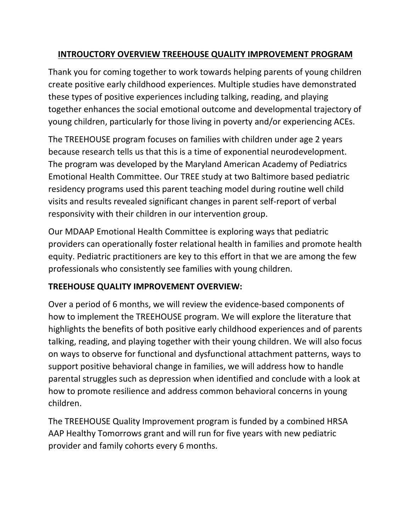## **INTROUCTORY OVERVIEW TREEHOUSE QUALITY IMPROVEMENT PROGRAM**

Thank you for coming together to work towards helping parents of young children create positive early childhood experiences. Multiple studies have demonstrated these types of positive experiences including talking, reading, and playing together enhances the social emotional outcome and developmental trajectory of young children, particularly for those living in poverty and/or experiencing ACEs.

The TREEHOUSE program focuses on families with children under age 2 years because research tells us that this is a time of exponential neurodevelopment. The program was developed by the Maryland American Academy of Pediatrics Emotional Health Committee. Our TREE study at two Baltimore based pediatric residency programs used this parent teaching model during routine well child visits and results revealed significant changes in parent self-report of verbal responsivity with their children in our intervention group.

Our MDAAP Emotional Health Committee is exploring ways that pediatric providers can operationally foster relational health in families and promote health equity. Pediatric practitioners are key to this effort in that we are among the few professionals who consistently see families with young children.

# **TREEHOUSE QUALITY IMPROVEMENT OVERVIEW:**

Over a period of 6 months, we will review the evidence-based components of how to implement the TREEHOUSE program. We will explore the literature that highlights the benefits of both positive early childhood experiences and of parents talking, reading, and playing together with their young children. We will also focus on ways to observe for functional and dysfunctional attachment patterns, ways to support positive behavioral change in families, we will address how to handle parental struggles such as depression when identified and conclude with a look at how to promote resilience and address common behavioral concerns in young children.

The TREEHOUSE Quality Improvement program is funded by a combined HRSA AAP Healthy Tomorrows grant and will run for five years with new pediatric provider and family cohorts every 6 months.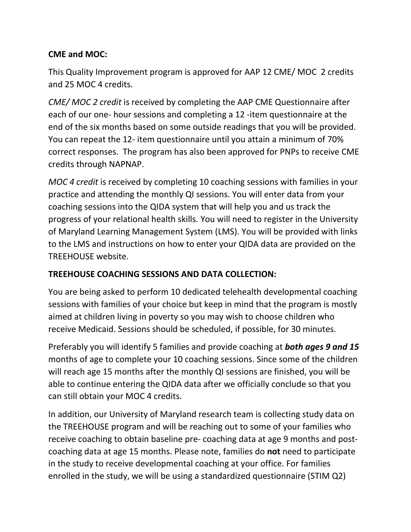## **CME and MOC:**

This Quality Improvement program is approved for AAP 12 CME/ MOC 2 credits and 25 MOC 4 credits.

*CME/ MOC 2 credit* is received by completing the AAP CME Questionnaire after each of our one- hour sessions and completing a 12 -item questionnaire at the end of the six months based on some outside readings that you will be provided. You can repeat the 12- item questionnaire until you attain a minimum of 70% correct responses. The program has also been approved for PNPs to receive CME credits through NAPNAP.

*MOC 4 credit* is received by completing 10 coaching sessions with families in your practice and attending the monthly QI sessions. You will enter data from your coaching sessions into the QIDA system that will help you and us track the progress of your relational health skills. You will need to register in the University of Maryland Learning Management System (LMS). You will be provided with links to the LMS and instructions on how to enter your QIDA data are provided on the TREEHOUSE website.

### **TREEHOUSE COACHING SESSIONS AND DATA COLLECTION:**

You are being asked to perform 10 dedicated telehealth developmental coaching sessions with families of your choice but keep in mind that the program is mostly aimed at children living in poverty so you may wish to choose children who receive Medicaid. Sessions should be scheduled, if possible, for 30 minutes.

Preferably you will identify 5 families and provide coaching at *both ages 9 and 15* months of age to complete your 10 coaching sessions. Since some of the children will reach age 15 months after the monthly QI sessions are finished, you will be able to continue entering the QIDA data after we officially conclude so that you can still obtain your MOC 4 credits.

In addition, our University of Maryland research team is collecting study data on the TREEHOUSE program and will be reaching out to some of your families who receive coaching to obtain baseline pre- coaching data at age 9 months and postcoaching data at age 15 months. Please note, families do **not** need to participate in the study to receive developmental coaching at your office. For families enrolled in the study, we will be using a standardized questionnaire (STIM Q2)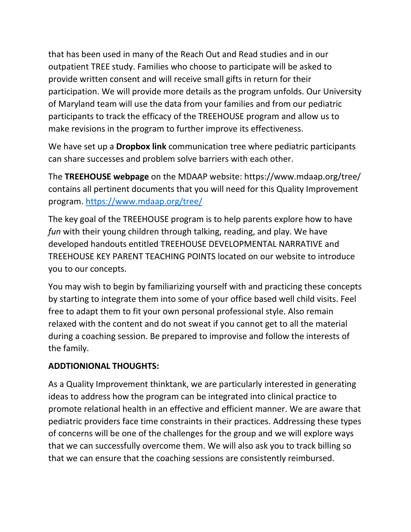that has been used in many of the Reach Out and Read studies and in our outpatient TREE study. Families who choose to participate will be asked to provide written consent and will receive small gifts in return for their participation. We will provide more details as the program unfolds. Our University of Maryland team will use the data from your families and from our pediatric participants to track the efficacy of the TREEHOUSE program and allow us to make revisions in the program to further improve its effectiveness.

We have set up a **Dropbox link** communication tree where pediatric participants can share successes and problem solve barriers with each other.

The **TREEHOUSE webpage** on the MDAAP website: https://www.mdaap.org/tree/ contains all pertinent documents that you will need for this Quality Improvement program.<https://www.mdaap.org/tree/>

The key goal of the TREEHOUSE program is to help parents explore how to have *fun* with their young children through talking, reading, and play. We have developed handouts entitled TREEHOUSE DEVELOPMENTAL NARRATIVE and TREEHOUSE KEY PARENT TEACHING POINTS located on our website to introduce you to our concepts.

You may wish to begin by familiarizing yourself with and practicing these concepts by starting to integrate them into some of your office based well child visits. Feel free to adapt them to fit your own personal professional style. Also remain relaxed with the content and do not sweat if you cannot get to all the material during a coaching session. Be prepared to improvise and follow the interests of the family.

### **ADDTIONIONAL THOUGHTS:**

As a Quality Improvement thinktank, we are particularly interested in generating ideas to address how the program can be integrated into clinical practice to promote relational health in an effective and efficient manner. We are aware that pediatric providers face time constraints in their practices. Addressing these types of concerns will be one of the challenges for the group and we will explore ways that we can successfully overcome them. We will also ask you to track billing so that we can ensure that the coaching sessions are consistently reimbursed.